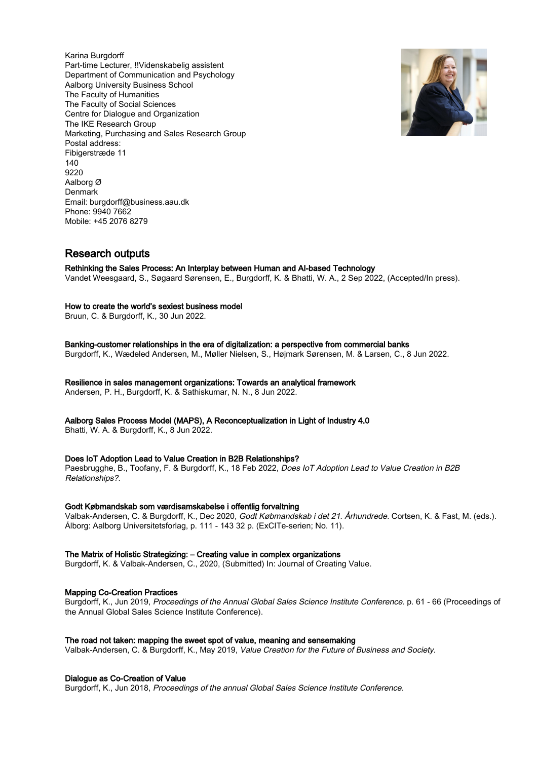Karina Burgdorff Part-time Lecturer, !!Videnskabelig assistent Department of Communication and Psychology Aalborg University Business School The Faculty of Humanities The Faculty of Social Sciences Centre for Dialogue and Organization The IKE Research Group Marketing, Purchasing and Sales Research Group Postal address: Fibigerstræde 11 140 9220 Aalborg Ø Denmark Email: burgdorff@business.aau.dk Phone: 9940 7662 Mobile: +45 2076 8279



## Research outputs

#### Rethinking the Sales Process: An Interplay between Human and AI-based Technology

Vandet Weesgaard, S., Søgaard Sørensen, E., Burgdorff, K. & Bhatti, W. A., 2 Sep 2022, (Accepted/In press).

#### How to create the world's sexiest business model

Bruun, C. & Burgdorff, K., 30 Jun 2022.

Banking-customer relationships in the era of digitalization: a perspective from commercial banks Burgdorff, K., Wædeled Andersen, M., Møller Nielsen, S., Højmark Sørensen, M. & Larsen, C., 8 Jun 2022.

Resilience in sales management organizations: Towards an analytical framework

Andersen, P. H., Burgdorff, K. & Sathiskumar, N. N., 8 Jun 2022.

Aalborg Sales Process Model (MAPS), A Reconceptualization in Light of Industry 4.0

Bhatti, W. A. & Burgdorff, K., 8 Jun 2022.

#### Does IoT Adoption Lead to Value Creation in B2B Relationships?

Paesbrugghe, B., Toofany, F. & Burgdorff, K., 18 Feb 2022, Does IoT Adoption Lead to Value Creation in B2B Relationships?.

#### Godt Købmandskab som værdisamskabelse i offentlig forvaltning

Valbak-Andersen, C. & Burgdorff, K., Dec 2020, Godt Købmandskab i det 21. Århundrede. Cortsen, K. & Fast, M. (eds.). Ålborg: Aalborg Universitetsforlag, p. 111 - 143 32 p. (ExCITe-serien; No. 11).

#### The Matrix of Holistic Strategizing: – Creating value in complex organizations

Burgdorff, K. & Valbak-Andersen, C., 2020, (Submitted) In: Journal of Creating Value.

#### Mapping Co-Creation Practices

Burgdorff, K., Jun 2019, Proceedings of the Annual Global Sales Science Institute Conference. p. 61 - 66 (Proceedings of the Annual Global Sales Science Institute Conference).

#### The road not taken: mapping the sweet spot of value, meaning and sensemaking

Valbak-Andersen, C. & Burgdorff, K., May 2019, Value Creation for the Future of Business and Society.

#### Dialogue as Co-Creation of Value

Burgdorff, K., Jun 2018, Proceedings of the annual Global Sales Science Institute Conference.